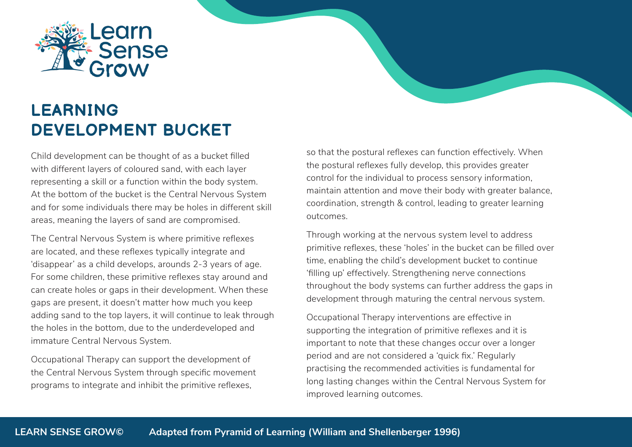

## **LEARNING DEVELOPMENT BUCKET**

Child development can be thought of as a bucket filled with different layers of coloured sand, with each layer representing a skill or a function within the body system. At the bottom of the bucket is the Central Nervous System and for some individuals there may be holes in different skill areas, meaning the layers of sand are compromised.

The Central Nervous System is where primitive reflexes are located, and these reflexes typically integrate and 'disappear' as a child develops, arounds 2-3 years of age. For some children, these primitive reflexes stay around and can create holes or gaps in their development. When these gaps are present, it doesn't matter how much you keep adding sand to the top layers, it will continue to leak through the holes in the bottom, due to the underdeveloped and immature Central Nervous System.

Occupational Therapy can support the development of the Central Nervous System through specific movement programs to integrate and inhibit the primitive reflexes,

so that the postural reflexes can function effectively. When the postural reflexes fully develop, this provides greater control for the individual to process sensory information, maintain attention and move their body with greater balance, coordination, strength & control, leading to greater learning outcomes.

Through working at the nervous system level to address primitive reflexes, these 'holes' in the bucket can be filled over time, enabling the child's development bucket to continue 'filling up' effectively. Strengthening nerve connections throughout the body systems can further address the gaps in development through maturing the central nervous system.

Occupational Therapy interventions are effective in supporting the integration of primitive reflexes and it is important to note that these changes occur over a longer period and are not considered a 'quick fix.' Regularly practising the recommended activities is fundamental for long lasting changes within the Central Nervous System for improved learning outcomes.